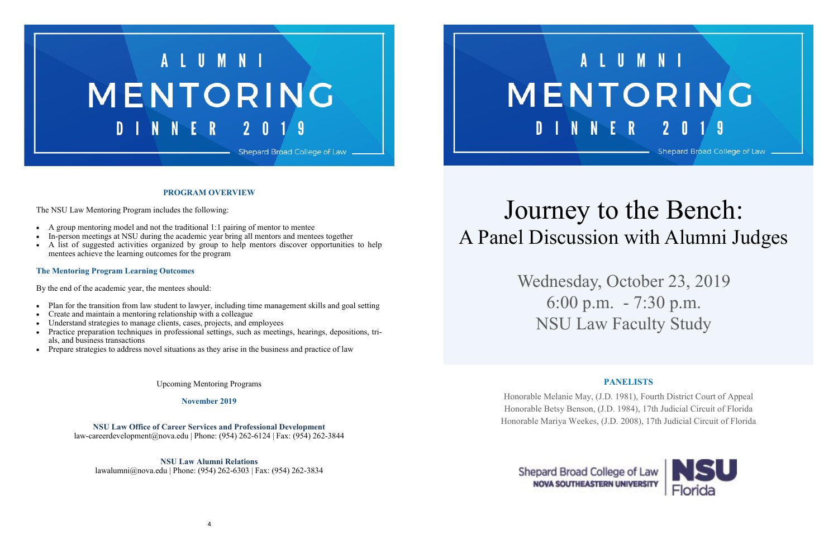## LUMNI MENTORING **INNER**  $2<sub>0</sub>$

Shepard Broad College of Law



#### **PROGRAM OVERVIEW**

The NSU Law Mentoring Program includes the following:

- A group mentoring model and not the traditional 1:1 pairing of mentor to mentee
- In-person meetings at NSU during the academic year bring all mentors and mentees together
- A list of suggested activities organized by group to help mentors discover opportunities to help mentees achieve the learning outcomes for the program

- Plan for the transition from law student to lawyer, including time management skills and goal setting
- Create and maintain a mentoring relationship with a colleague
- Understand strategies to manage clients, cases, projects, and employees
- Practice preparation techniques in professional settings, such as meetings, hearings, depositions, trials, and business transactions
- Prepare strategies to address novel situations as they arise in the business and practice of law

#### **The Mentoring Program Learning Outcomes**

By the end of the academic year, the mentees should:

Upcoming Mentoring Programs

**November 2019**

**NSU Law Office of Career Services and Professional Development** law-careerdevelopment@nova.edu | Phone: (954) 262-6124 | Fax: (954) 262-3844

**NSU Law Alumni Relations** lawalumni@nova.edu | Phone: (954) 262-6303 | Fax: (954) 262-3834

# D I N N E R

# Journey to the Bench: A Panel Discussion with Alumni Judges

Wednesday, October 23, 2019 6:00 p.m. - 7:30 p.m. NSU Law Faculty Study

## **PANELISTS**



Honorable Melanie May, (J.D. 1981), Fourth District Court of Appeal Honorable Betsy Benson, (J.D. 1984), 17th Judicial Circuit of Florida Honorable Mariya Weekes, (J.D. 2008), 17th Judicial Circuit of Florida

## Shepard Broad College of Law **NOVA SOUTHEASTERN UNIVERSITY**